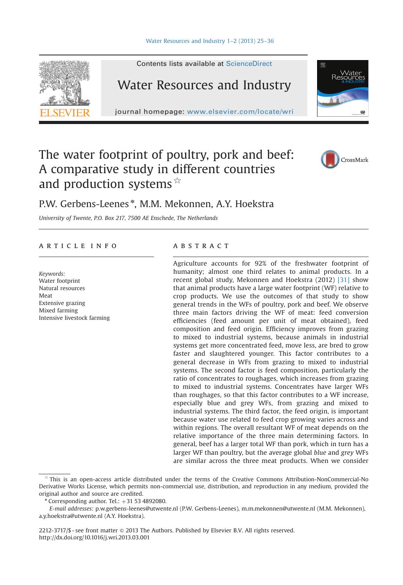#### [Water Resources and Industry 1](dx.doi.org/10.1016/j.wri.2013.03.001)–2 (2013) 25–36



# The water footprint of poultry, pork and beef: A comparative study in different countries and production systems  $\frac{1}{x}$



## P.W. Gerbens-Leenes\*, M.M. Mekonnen, A.Y. Hoekstra

University of Twente, P.O. Box 217, 7500 AE Enschede, The Netherlands

#### article info

Keywords: Water footprint Natural resources Meat Extensive grazing Mixed farming Intensive livestock farming

#### **ABSTRACT**

Agriculture accounts for 92% of the freshwater footprint of humanity; almost one third relates to animal products. In a recent global study, Mekonnen and Hoekstra (2012) [\[31\]](#page-11-0) show that animal products have a large water footprint (WF) relative to crop products. We use the outcomes of that study to show general trends in the WFs of poultry, pork and beef. We observe three main factors driving the WF of meat: feed conversion efficiencies (feed amount per unit of meat obtained), feed composition and feed origin. Efficiency improves from grazing to mixed to industrial systems, because animals in industrial systems get more concentrated feed, move less, are bred to grow faster and slaughtered younger. This factor contributes to a general decrease in WFs from grazing to mixed to industrial systems. The second factor is feed composition, particularly the ratio of concentrates to roughages, which increases from grazing to mixed to industrial systems. Concentrates have larger WFs than roughages, so that this factor contributes to a WF increase, especially blue and grey WFs, from grazing and mixed to industrial systems. The third factor, the feed origin, is important because water use related to feed crop growing varies across and within regions. The overall resultant WF of meat depends on the relative importance of the three main determining factors. In general, beef has a larger total WF than pork, which in turn has a larger WF than poultry, but the average global blue and grey WFs are similar across the three meat products. When we consider

2212-3717/\$ - see front matter  $\circ$  2013 The Authors. Published by Elsevier B.V. All rights reserved. [http://dx.doi.org/10.1016/j.wri.2013.03.001](dx.doi.org/10.1016/j.wri.2013.03.001)

<sup>☆</sup> This is an open-access article distributed under the terms of the Creative Commons Attribution-NonCommercial-No Derivative Works License, which permits non-commercial use, distribution, and reproduction in any medium, provided the original author and source are credited.

 $*$  Corresponding author. Tel.:  $+31$  53 4892080.

E-mail addresses: [p.w.gerbens-leenes@utwente.nl \(P.W. Gerbens-Leenes\),](mailto:p.w.gerbens-leenes@utwente.nl) [m.m.mekonnen@utwente.nl \(M.M. Mekonnen\)](mailto:m.m.mekonnen@utwente.nl), [a.y.hoekstra@utwente.nl \(A.Y. Hoekstra\).](mailto:a.y.hoekstra@utwente.nl)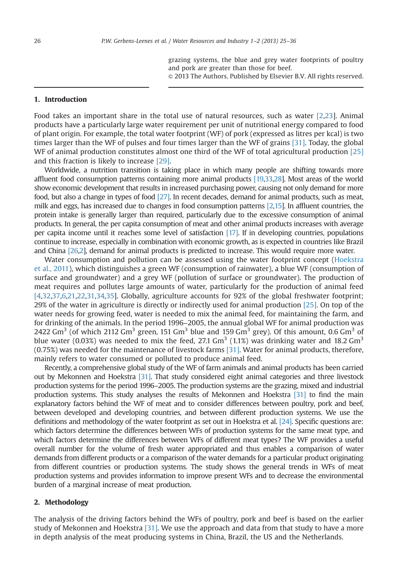grazing systems, the blue and grey water footprints of poultry and pork are greater than those for beef.

 $\odot$  2013 The Authors. Published by Elsevier B.V. All rights reserved.

#### 1. Introduction

Food takes an important share in the total use of natural resources, such as water [\[2](#page-10-0)[,23\]](#page-11-0). Animal products have a particularly large water requirement per unit of nutritional energy compared to food of plant origin. For example, the total water footprint (WF) of pork (expressed as litres per kcal) is two times larger than the WF of pulses and four times larger than the WF of grains [\[31\]](#page-11-0). Today, the global WF of animal production constitutes almost one third of the WF of total agricultural production [\[25\]](#page-11-0) and this fraction is likely to increase [\[29\].](#page-11-0)

Worldwide, a nutrition transition is taking place in which many people are shifting towards more affluent food consumption patterns containing more animal products [\[19,](#page-10-0)[33,28](#page-11-0)]. Most areas of the world show economic development that results in increased purchasing power, causing not only demand for more food, but also a change in types of food [\[27\].](#page-11-0) In recent decades, demand for animal products, such as meat, milk and eggs, has increased due to changes in food consumption patterns [\[2](#page-10-0),[15](#page-10-0)]. In affluent countries, the protein intake is generally larger than required, particularly due to the excessive consumption of animal products. In general, the per capita consumption of meat and other animal products increases with average per capita income until it reaches some level of satisfaction [\[17\]](#page-10-0). If in developing countries, populations continue to increase, especially in combination with economic growth, as is expected in countries like Brazil and China [\[26](#page-11-0)[,2\]](#page-10-0), demand for animal products is predicted to increase. This would require more water.

Water consumption and pollution can be assessed using the water footprint concept [\(Hoekstra](#page-11-0) [et al., 2011](#page-11-0)), which distinguishes a green WF (consumption of rainwater), a blue WF (consumption of surface and groundwater) and a grey WF (pollution of surface or groundwater). The production of meat requires and pollutes large amounts of water, particularly for the production of animal feed [\[4](#page-10-0)[,32,37,](#page-11-0)[6](#page-10-0)[,21,22,31,34,35\]](#page-11-0). Globally, agriculture accounts for 92% of the global freshwater footprint; 29% of the water in agriculture is directly or indirectly used for animal production [\[25\].](#page-11-0) On top of the water needs for growing feed, water is needed to mix the animal feed, for maintaining the farm, and for drinking of the animals. In the period 1996–2005, the annual global WF for animal production was 2422 Gm<sup>3</sup> (of which 2112 Gm<sup>3</sup> green, 151 Gm<sup>3</sup> blue and 159 Gm<sup>3</sup> grey). Of this amount, 0.6 Gm<sup>3</sup> of blue water (0.03%) was needed to mix the feed, 27.1 Gm<sup>3</sup> (1.1%) was drinking water and 18.2 Gm<sup>3</sup> (0.75%) was needed for the maintenance of livestock farms [\[31\].](#page-11-0) Water for animal products, therefore, mainly refers to water consumed or polluted to produce animal feed.

Recently, a comprehensive global study of the WF of farm animals and animal products has been carried out by Mekonnen and Hoekstra [\[31\].](#page-11-0) That study considered eight animal categories and three livestock production systems for the period 1996–2005. The production systems are the grazing, mixed and industrial production systems. This study analyses the results of Mekonnen and Hoekstra [\[31\]](#page-11-0) to find the main explanatory factors behind the WF of meat and to consider differences between poultry, pork and beef, between developed and developing countries, and between different production systems. We use the definitions and methodology of the water footprint as set out in Hoekstra et al. [\[24\].](#page-11-0) Specific questions are: which factors determine the differences between WFs of production systems for the same meat type, and which factors determine the differences between WFs of different meat types? The WF provides a useful overall number for the volume of fresh water appropriated and thus enables a comparison of water demands from different products or a comparison of the water demands for a particular product originating from different countries or production systems. The study shows the general trends in WFs of meat production systems and provides information to improve present WFs and to decrease the environmental burden of a marginal increase of meat production.

#### 2. Methodology

The analysis of the driving factors behind the WFs of poultry, pork and beef is based on the earlier study of Mekonnen and Hoekstra [\[31\]](#page-11-0). We use the approach and data from that study to have a more in depth analysis of the meat producing systems in China, Brazil, the US and the Netherlands.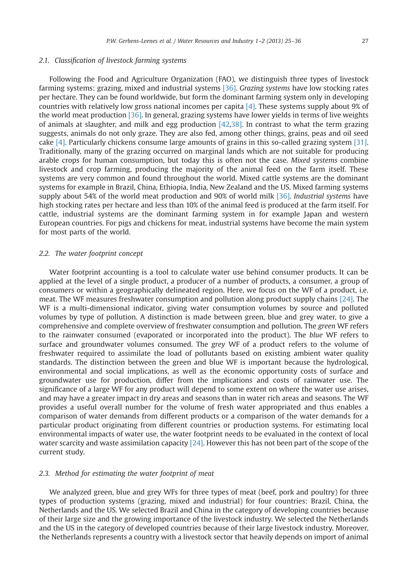#### 2.1. Classification of livestock farming systems

Following the Food and Agriculture Organization (FAO), we distinguish three types of livestock farming systems: grazing, mixed and industrial systems [\[36\].](#page-11-0) Grazing systems have low stocking rates per hectare. They can be found worldwide, but form the dominant farming system only in developing countries with relatively low gross national incomes per capita [\[4\]](#page-10-0). These systems supply about 9% of the world meat production [\[36\]](#page-11-0). In general, grazing systems have lower yields in terms of live weights of animals at slaughter, and milk and egg production [\[42,38\].](#page-11-0) In contrast to what the term grazing suggests, animals do not only graze. They are also fed, among other things, grains, peas and oil seed cake [\[4\]](#page-10-0). Particularly chickens consume large amounts of grains in this so-called grazing system [\[31\]](#page-11-0). Traditionally, many of the grazing occurred on marginal lands which are not suitable for producing arable crops for human consumption, but today this is often not the case. Mixed systems combine livestock and crop farming, producing the majority of the animal feed on the farm itself. These systems are very common and found throughout the world. Mixed cattle systems are the dominant systems for example in Brazil, China, Ethiopia, India, New Zealand and the US. Mixed farming systems supply about 54% of the world meat production and 90% of world milk [\[36\].](#page-11-0) Industrial systems have high stocking rates per hectare and less than 10% of the animal feed is produced at the farm itself. For cattle, industrial systems are the dominant farming system in for example Japan and western European countries. For pigs and chickens for meat, industrial systems have become the main system for most parts of the world.

#### 2.2. The water footprint concept

Water footprint accounting is a tool to calculate water use behind consumer products. It can be applied at the level of a single product, a producer of a number of products, a consumer, a group of consumers or within a geographically delineated region. Here, we focus on the WF of a product, i.e. meat. The WF measures freshwater consumption and pollution along product supply chains [\[24\].](#page-11-0) The WF is a multi-dimensional indicator, giving water consumption volumes by source and polluted volumes by type of pollution. A distinction is made between green, blue and grey water, to give a comprehensive and complete overview of freshwater consumption and pollution. The green WF refers to the rainwater consumed (evaporated or incorporated into the product). The blue WF refers to surface and groundwater volumes consumed. The grey WF of a product refers to the volume of freshwater required to assimilate the load of pollutants based on existing ambient water quality standards. The distinction between the green and blue WF is important because the hydrological, environmental and social implications, as well as the economic opportunity costs of surface and groundwater use for production, differ from the implications and costs of rainwater use. The significance of a large WF for any product will depend to some extent on where the water use arises, and may have a greater impact in dry areas and seasons than in water rich areas and seasons. The WF provides a useful overall number for the volume of fresh water appropriated and thus enables a comparison of water demands from different products or a comparison of the water demands for a particular product originating from different countries or production systems. For estimating local environmental impacts of water use, the water footprint needs to be evaluated in the context of local water scarcity and waste assimilation capacity [\[24\].](#page-11-0) However this has not been part of the scope of the current study.

#### 2.3. Method for estimating the water footprint of meat

We analyzed green, blue and grey WFs for three types of meat (beef, pork and poultry) for three types of production systems (grazing, mixed and industrial) for four countries: Brazil, China, the Netherlands and the US. We selected Brazil and China in the category of developing countries because of their large size and the growing importance of the livestock industry. We selected the Netherlands and the US in the category of developed countries because of their large livestock industry. Moreover, the Netherlands represents a country with a livestock sector that heavily depends on import of animal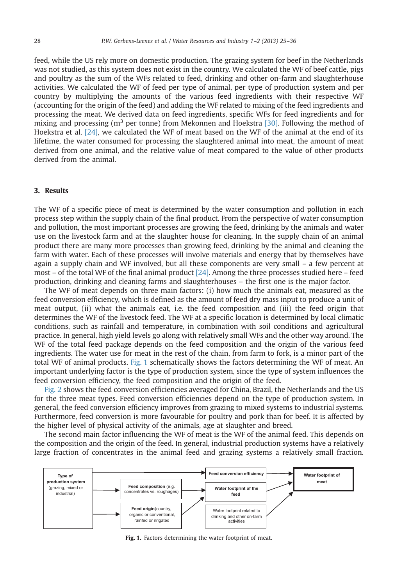feed, while the US rely more on domestic production. The grazing system for beef in the Netherlands was not studied, as this system does not exist in the country. We calculated the WF of beef cattle, pigs and poultry as the sum of the WFs related to feed, drinking and other on-farm and slaughterhouse activities. We calculated the WF of feed per type of animal, per type of production system and per country by multiplying the amounts of the various feed ingredients with their respective WF (accounting for the origin of the feed) and adding the WF related to mixing of the feed ingredients and processing the meat. We derived data on feed ingredients, specific WFs for feed ingredients and for mixing and processing ( $m<sup>3</sup>$  per tonne) from Mekonnen and Hoekstra [\[30\].](#page-11-0) Following the method of Hoekstra et al. [\[24\],](#page-11-0) we calculated the WF of meat based on the WF of the animal at the end of its lifetime, the water consumed for processing the slaughtered animal into meat, the amount of meat derived from one animal, and the relative value of meat compared to the value of other products derived from the animal.

#### 3. Results

The WF of a specific piece of meat is determined by the water consumption and pollution in each process step within the supply chain of the final product. From the perspective of water consumption and pollution, the most important processes are growing the feed, drinking by the animals and water use on the livestock farm and at the slaughter house for cleaning. In the supply chain of an animal product there are many more processes than growing feed, drinking by the animal and cleaning the farm with water. Each of these processes will involve materials and energy that by themselves have again a supply chain and WF involved, but all these components are very small – a few percent at most – of the total WF of the final animal product [\[24\]](#page-11-0). Among the three processes studied here – feed production, drinking and cleaning farms and slaughterhouses – the first one is the major factor.

The WF of meat depends on three main factors: (i) how much the animals eat, measured as the feed conversion efficiency, which is defined as the amount of feed dry mass input to produce a unit of meat output, (ii) what the animals eat, i.e. the feed composition and (iii) the feed origin that determines the WF of the livestock feed. The WF at a specific location is determined by local climatic conditions, such as rainfall and temperature, in combination with soil conditions and agricultural practice. In general, high yield levels go along with relatively small WFs and the other way around. The WF of the total feed package depends on the feed composition and the origin of the various feed ingredients. The water use for meat in the rest of the chain, from farm to fork, is a minor part of the total WF of animal products. Fig. 1 schematically shows the factors determining the WF of meat. An important underlying factor is the type of production system, since the type of system influences the feed conversion efficiency, the feed composition and the origin of the feed.

[Fig. 2](#page-4-0) shows the feed conversion efficiencies averaged for China, Brazil, the Netherlands and the US for the three meat types. Feed conversion efficiencies depend on the type of production system. In general, the feed conversion efficiency improves from grazing to mixed systems to industrial systems. Furthermore, feed conversion is more favourable for poultry and pork than for beef. It is affected by the higher level of physical activity of the animals, age at slaughter and breed.

The second main factor influencing the WF of meat is the WF of the animal feed. This depends on the composition and the origin of the feed. In general, industrial production systems have a relatively large fraction of concentrates in the animal feed and grazing systems a relatively small fraction.



Fig. 1. Factors determining the water footprint of meat.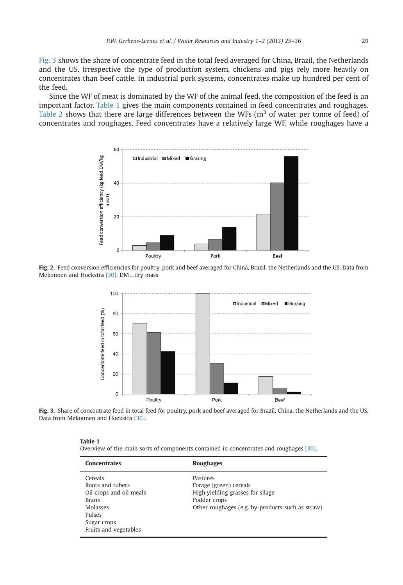<span id="page-4-0"></span>Fig. 3 shows the share of concentrate feed in the total feed averaged for China, Brazil, the Netherlands and the US. Irrespective the type of production system, chickens and pigs rely more heavily on concentrates than beef cattle. In industrial pork systems, concentrates make up hundred per cent of the feed.

Since the WF of meat is dominated by the WF of the animal feed, the composition of the feed is an important factor. Table 1 gives the main components contained in feed concentrates and roughages. [Table 2](#page-5-0) shows that there are large differences between the WFs  $(m<sup>3</sup>$  of water per tonne of feed) of concentrates and roughages. Feed concentrates have a relatively large WF, while roughages have a



Fig. 2. Feed conversion efficiencies for poultry, pork and beef averaged for China, Brazil, the Netherlands and the US. Data from Mekonnen and Hoekstra  $[30]$ . DM = dry mass.



Fig. 3. Share of concentrate feed in total feed for poultry, pork and beef averaged for Brazil, China, the Netherlands and the US. Data from Mekonnen and Hoekstra [\[30\]](#page-11-0).

#### Table 1

Overview of the main sorts of components contained in concentrates and roughages [\[30\].](#page-11-0)

| <b>Concentrates</b>                                                                                                                  | Roughages                                                                                                                                  |  |  |
|--------------------------------------------------------------------------------------------------------------------------------------|--------------------------------------------------------------------------------------------------------------------------------------------|--|--|
| Cereals<br>Roots and tubers<br>Oil crops and oil meals<br><b>Brans</b><br>Molasses<br>Pulses<br>Sugar crops<br>Fruits and vegetables | Pastures<br>Forage (green) cereals<br>High yielding grasses for silage<br>Fodder crops<br>Other roughages (e.g. by-products such as straw) |  |  |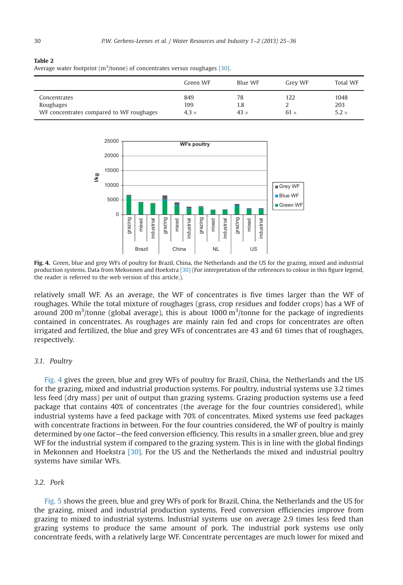|                                          | Green WF     | Blue WF     | Grey WF     | Total WF     |
|------------------------------------------|--------------|-------------|-------------|--------------|
| Concentrates                             | 849          | 78          | 122         | 1048         |
| Roughages                                | 199          | 1.8         | ∠           | 203          |
| WF concentrates compared to WF roughages | $4.3 \times$ | $43 \times$ | $61 \times$ | $5.2 \times$ |

<span id="page-5-0"></span>



Fig. 4. Green, blue and grey WFs of poultry for Brazil, China, the Netherlands and the US for the grazing, mixed and industrial production systems. Data from Mekonnen and Hoekstra [\[30\]](#page-11-0) (For interpretation of the references to colour in this figure legend, the reader is referred to the web version of this article.).

relatively small WF. As an average, the WF of concentrates is five times larger than the WF of roughages. While the total mixture of roughages (grass, crop residues and fodder crops) has a WF of around 200 m<sup>3</sup>/tonne (global average), this is about 1000 m<sup>3</sup>/tonne for the package of ingredients contained in concentrates. As roughages are mainly rain fed and crops for concentrates are often irrigated and fertilized, the blue and grey WFs of concentrates are 43 and 61 times that of roughages, respectively.

#### 3.1. Poultry

Fig. 4 gives the green, blue and grey WFs of poultry for Brazil, China, the Netherlands and the US for the grazing, mixed and industrial production systems. For poultry, industrial systems use 3.2 times less feed (dry mass) per unit of output than grazing systems. Grazing production systems use a feed package that contains 40% of concentrates (the average for the four countries considered), while industrial systems have a feed package with 70% of concentrates. Mixed systems use feed packages with concentrate fractions in between. For the four countries considered, the WF of poultry is mainly determined by one factor—the feed conversion efficiency. This results in a smaller green, blue and grey WF for the industrial system if compared to the grazing system. This is in line with the global findings in Mekonnen and Hoekstra [\[30\].](#page-11-0) For the US and the Netherlands the mixed and industrial poultry systems have similar WFs.

### 3.2. Pork

[Fig. 5](#page-6-0) shows the green, blue and grey WFs of pork for Brazil, China, the Netherlands and the US for the grazing, mixed and industrial production systems. Feed conversion efficiencies improve from grazing to mixed to industrial systems. Industrial systems use on average 2.9 times less feed than grazing systems to produce the same amount of pork. The industrial pork systems use only concentrate feeds, with a relatively large WF. Concentrate percentages are much lower for mixed and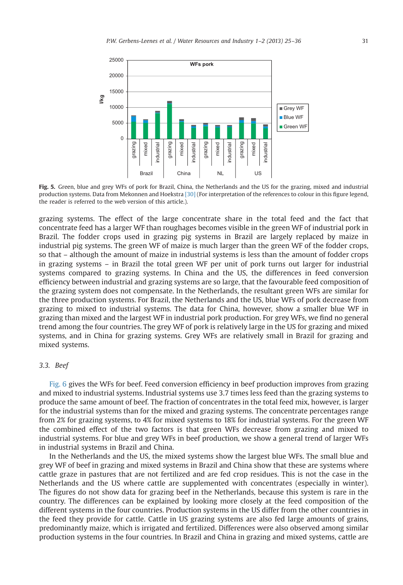<span id="page-6-0"></span>

Fig. 5. Green, blue and grey WFs of pork for Brazil, China, the Netherlands and the US for the grazing, mixed and industrial production systems. Data from Mekonnen and Hoekstra [\[30\]](#page-11-0) (For interpretation of the references to colour in this figure legend, the reader is referred to the web version of this article.).

grazing systems. The effect of the large concentrate share in the total feed and the fact that concentrate feed has a larger WF than roughages becomes visible in the green WF of industrial pork in Brazil. The fodder crops used in grazing pig systems in Brazil are largely replaced by maize in industrial pig systems. The green WF of maize is much larger than the green WF of the fodder crops, so that – although the amount of maize in industrial systems is less than the amount of fodder crops in grazing systems – in Brazil the total green WF per unit of pork turns out larger for industrial systems compared to grazing systems. In China and the US, the differences in feed conversion efficiency between industrial and grazing systems are so large, that the favourable feed composition of the grazing system does not compensate. In the Netherlands, the resultant green WFs are similar for the three production systems. For Brazil, the Netherlands and the US, blue WFs of pork decrease from grazing to mixed to industrial systems. The data for China, however, show a smaller blue WF in grazing than mixed and the largest WF in industrial pork production. For grey WFs, we find no general trend among the four countries. The grey WF of pork is relatively large in the US for grazing and mixed systems, and in China for grazing systems. Grey WFs are relatively small in Brazil for grazing and mixed systems.

#### 3.3. Beef

[Fig. 6](#page-7-0) gives the WFs for beef. Feed conversion efficiency in beef production improves from grazing and mixed to industrial systems. Industrial systems use 3.7 times less feed than the grazing systems to produce the same amount of beef. The fraction of concentrates in the total feed mix, however, is larger for the industrial systems than for the mixed and grazing systems. The concentrate percentages range from 2% for grazing systems, to 4% for mixed systems to 18% for industrial systems. For the green WF the combined effect of the two factors is that green WFs decrease from grazing and mixed to industrial systems. For blue and grey WFs in beef production, we show a general trend of larger WFs in industrial systems in Brazil and China.

In the Netherlands and the US, the mixed systems show the largest blue WFs. The small blue and grey WF of beef in grazing and mixed systems in Brazil and China show that these are systems where cattle graze in pastures that are not fertilized and are fed crop residues. This is not the case in the Netherlands and the US where cattle are supplemented with concentrates (especially in winter). The figures do not show data for grazing beef in the Netherlands, because this system is rare in the country. The differences can be explained by looking more closely at the feed composition of the different systems in the four countries. Production systems in the US differ from the other countries in the feed they provide for cattle. Cattle in US grazing systems are also fed large amounts of grains, predominantly maize, which is irrigated and fertilized. Differences were also observed among similar production systems in the four countries. In Brazil and China in grazing and mixed systems, cattle are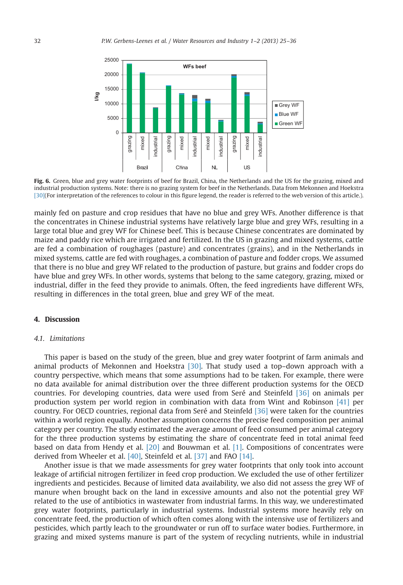<span id="page-7-0"></span>

Fig. 6. Green, blue and grey water footprints of beef for Brazil, China, the Netherlands and the US for the grazing, mixed and industrial production systems. Note: there is no grazing system for beef in the Netherlands. Data from Mekonnen and Hoekstra [\[30\]\(](#page-11-0)For interpretation of the references to colour in this figure legend, the reader is referred to the web version of this article.).

mainly fed on pasture and crop residues that have no blue and grey WFs. Another difference is that the concentrates in Chinese industrial systems have relatively large blue and grey WFs, resulting in a large total blue and grey WF for Chinese beef. This is because Chinese concentrates are dominated by maize and paddy rice which are irrigated and fertilized. In the US in grazing and mixed systems, cattle are fed a combination of roughages (pasture) and concentrates (grains), and in the Netherlands in mixed systems, cattle are fed with roughages, a combination of pasture and fodder crops. We assumed that there is no blue and grey WF related to the production of pasture, but grains and fodder crops do have blue and grey WFs. In other words, systems that belong to the same category, grazing, mixed or industrial, differ in the feed they provide to animals. Often, the feed ingredients have different WFs, resulting in differences in the total green, blue and grey WF of the meat.

#### 4. Discussion

#### 4.1 I imitations

This paper is based on the study of the green, blue and grey water footprint of farm animals and animal products of Mekonnen and Hoekstra [\[30\].](#page-11-0) That study used a top–down approach with a country perspective, which means that some assumptions had to be taken. For example, there were no data available for animal distribution over the three different production systems for the OECD countries. For developing countries, data were used from Seré and Steinfeld [\[36\]](#page-11-0) on animals per production system per world region in combination with data from Wint and Robinson [\[41\]](#page-11-0) per country. For OECD countries, regional data from Seré and Steinfeld [\[36\]](#page-11-0) were taken for the countries within a world region equally. Another assumption concerns the precise feed composition per animal category per country. The study estimated the average amount of feed consumed per animal category for the three production systems by estimating the share of concentrate feed in total animal feed based on data from Hendy et al. [\[20\]](#page-10-0) and Bouwman et al. [\[1\]](#page-10-0). Compositions of concentrates were derived from Wheeler et al. [\[40\],](#page-11-0) Steinfeld et al. [\[37\]](#page-11-0) and FAO [\[14\].](#page-10-0)

Another issue is that we made assessments for grey water footprints that only took into account leakage of artificial nitrogen fertilizer in feed crop production. We excluded the use of other fertilizer ingredients and pesticides. Because of limited data availability, we also did not assess the grey WF of manure when brought back on the land in excessive amounts and also not the potential grey WF related to the use of antibiotics in wastewater from industrial farms. In this way, we underestimated grey water footprints, particularly in industrial systems. Industrial systems more heavily rely on concentrate feed, the production of which often comes along with the intensive use of fertilizers and pesticides, which partly leach to the groundwater or run off to surface water bodies. Furthermore, in grazing and mixed systems manure is part of the system of recycling nutrients, while in industrial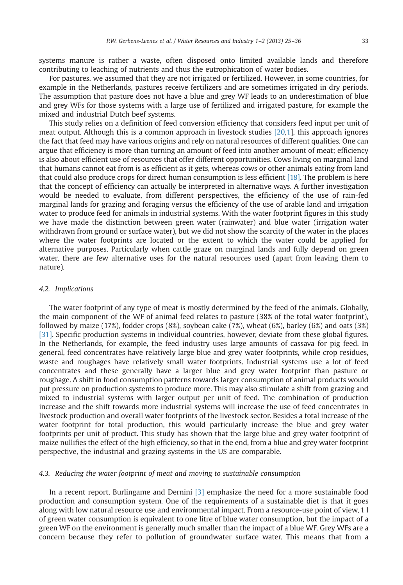systems manure is rather a waste, often disposed onto limited available lands and therefore contributing to leaching of nutrients and thus the eutrophication of water bodies.

For pastures, we assumed that they are not irrigated or fertilized. However, in some countries, for example in the Netherlands, pastures receive fertilizers and are sometimes irrigated in dry periods. The assumption that pasture does not have a blue and grey WF leads to an underestimation of blue and grey WFs for those systems with a large use of fertilized and irrigated pasture, for example the mixed and industrial Dutch beef systems.

This study relies on a definition of feed conversion efficiency that considers feed input per unit of meat output. Although this is a common approach in livestock studies [\[20,1\]](#page-10-0), this approach ignores the fact that feed may have various origins and rely on natural resources of different qualities. One can argue that efficiency is more than turning an amount of feed into another amount of meat; efficiency is also about efficient use of resources that offer different opportunities. Cows living on marginal land that humans cannot eat from is as efficient as it gets, whereas cows or other animals eating from land that could also produce crops for direct human consumption is less efficient [\[18\]](#page-10-0). The problem is here that the concept of efficiency can actually be interpreted in alternative ways. A further investigation would be needed to evaluate, from different perspectives, the efficiency of the use of rain-fed marginal lands for grazing and foraging versus the efficiency of the use of arable land and irrigation water to produce feed for animals in industrial systems. With the water footprint figures in this study we have made the distinction between green water (rainwater) and blue water (irrigation water withdrawn from ground or surface water), but we did not show the scarcity of the water in the places where the water footprints are located or the extent to which the water could be applied for alternative purposes. Particularly when cattle graze on marginal lands and fully depend on green water, there are few alternative uses for the natural resources used (apart from leaving them to nature).

#### 4.2. Implications

The water footprint of any type of meat is mostly determined by the feed of the animals. Globally, the main component of the WF of animal feed relates to pasture (38% of the total water footprint), followed by maize (17%), fodder crops (8%), soybean cake (7%), wheat (6%), barley (6%) and oats (3%) [\[31\]](#page-11-0). Specific production systems in individual countries, however, deviate from these global figures. In the Netherlands, for example, the feed industry uses large amounts of cassava for pig feed. In general, feed concentrates have relatively large blue and grey water footprints, while crop residues, waste and roughages have relatively small water footprints. Industrial systems use a lot of feed concentrates and these generally have a larger blue and grey water footprint than pasture or roughage. A shift in food consumption patterns towards larger consumption of animal products would put pressure on production systems to produce more. This may also stimulate a shift from grazing and mixed to industrial systems with larger output per unit of feed. The combination of production increase and the shift towards more industrial systems will increase the use of feed concentrates in livestock production and overall water footprints of the livestock sector. Besides a total increase of the water footprint for total production, this would particularly increase the blue and grey water footprints per unit of product. This study has shown that the large blue and grey water footprint of maize nullifies the effect of the high efficiency, so that in the end, from a blue and grey water footprint perspective, the industrial and grazing systems in the US are comparable.

#### 4.3. Reducing the water footprint of meat and moving to sustainable consumption

In a recent report, Burlingame and Dernini [\[3\]](#page-10-0) emphasize the need for a more sustainable food production and consumption system. One of the requirements of a sustainable diet is that it goes along with low natural resource use and environmental impact. From a resource-use point of view, 1 l of green water consumption is equivalent to one litre of blue water consumption, but the impact of a green WF on the environment is generally much smaller than the impact of a blue WF. Grey WFs are a concern because they refer to pollution of groundwater surface water. This means that from a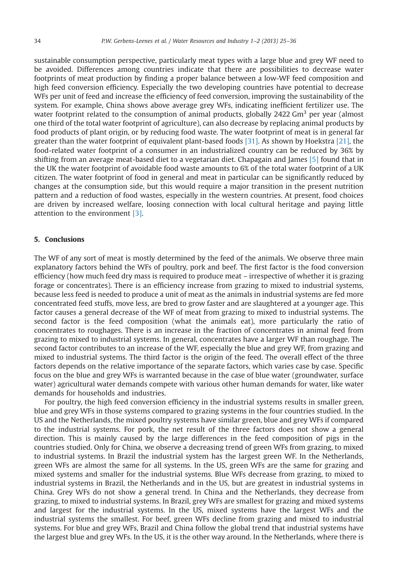sustainable consumption perspective, particularly meat types with a large blue and grey WF need to be avoided. Differences among countries indicate that there are possibilities to decrease water footprints of meat production by finding a proper balance between a low-WF feed composition and high feed conversion efficiency. Especially the two developing countries have potential to decrease WFs per unit of feed and increase the efficiency of feed conversion, improving the sustainability of the system. For example, China shows above average grey WFs, indicating inefficient fertilizer use. The water footprint related to the consumption of animal products, globally  $2422$  Gm<sup>3</sup> per year (almost one third of the total water footprint of agriculture), can also decrease by replacing animal products by food products of plant origin, or by reducing food waste. The water footprint of meat is in general far greater than the water footprint of equivalent plant-based foods [\[31\].](#page-11-0) As shown by Hoekstra [\[21\],](#page-11-0) the food-related water footprint of a consumer in an industrialized country can be reduced by 36% by shifting from an average meat-based diet to a vegetarian diet. Chapagain and James [\[5\]](#page-10-0) found that in the UK the water footprint of avoidable food waste amounts to 6% of the total water footprint of a UK citizen. The water footprint of food in general and meat in particular can be significantly reduced by changes at the consumption side, but this would require a major transition in the present nutrition pattern and a reduction of food wastes, especially in the western countries. At present, food choices are driven by increased welfare, loosing connection with local cultural heritage and paying little attention to the environment [\[3\].](#page-10-0)

#### 5. Conclusions

The WF of any sort of meat is mostly determined by the feed of the animals. We observe three main explanatory factors behind the WFs of poultry, pork and beef. The first factor is the food conversion efficiency (how much feed dry mass is required to produce meat – irrespective of whether it is grazing forage or concentrates). There is an efficiency increase from grazing to mixed to industrial systems, because less feed is needed to produce a unit of meat as the animals in industrial systems are fed more concentrated feed stuffs, move less, are bred to grow faster and are slaughtered at a younger age. This factor causes a general decrease of the WF of meat from grazing to mixed to industrial systems. The second factor is the feed composition (what the animals eat), more particularly the ratio of concentrates to roughages. There is an increase in the fraction of concentrates in animal feed from grazing to mixed to industrial systems. In general, concentrates have a larger WF than roughage. The second factor contributes to an increase of the WF, especially the blue and grey WF, from grazing and mixed to industrial systems. The third factor is the origin of the feed. The overall effect of the three factors depends on the relative importance of the separate factors, which varies case by case. Specific focus on the blue and grey WFs is warranted because in the case of blue water (groundwater, surface water) agricultural water demands compete with various other human demands for water, like water demands for households and industries.

For poultry, the high feed conversion efficiency in the industrial systems results in smaller green, blue and grey WFs in those systems compared to grazing systems in the four countries studied. In the US and the Netherlands, the mixed poultry systems have similar green, blue and grey WFs if compared to the industrial systems. For pork, the net result of the three factors does not show a general direction. This is mainly caused by the large differences in the feed composition of pigs in the countries studied. Only for China, we observe a decreasing trend of green WFs from grazing, to mixed to industrial systems. In Brazil the industrial system has the largest green WF. In the Netherlands, green WFs are almost the same for all systems. In the US, green WFs are the same for grazing and mixed systems and smaller for the industrial systems. Blue WFs decrease from grazing, to mixed to industrial systems in Brazil, the Netherlands and in the US, but are greatest in industrial systems in China. Grey WFs do not show a general trend. In China and the Netherlands, they decrease from grazing, to mixed to industrial systems. In Brazil, grey WFs are smallest for grazing and mixed systems and largest for the industrial systems. In the US, mixed systems have the largest WFs and the industrial systems the smallest. For beef, green WFs decline from grazing and mixed to industrial systems. For blue and grey WFs, Brazil and China follow the global trend that industrial systems have the largest blue and grey WFs. In the US, it is the other way around. In the Netherlands, where there is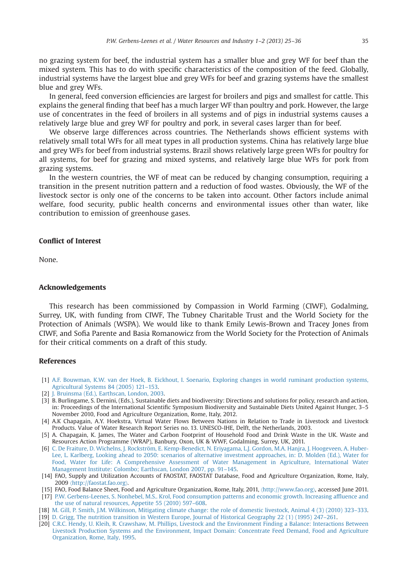<span id="page-10-0"></span>no grazing system for beef, the industrial system has a smaller blue and grey WF for beef than the mixed system. This has to do with specific characteristics of the composition of the feed. Globally, industrial systems have the largest blue and grey WFs for beef and grazing systems have the smallest blue and grey WFs.

In general, feed conversion efficiencies are largest for broilers and pigs and smallest for cattle. This explains the general finding that beef has a much larger WF than poultry and pork. However, the large use of concentrates in the feed of broilers in all systems and of pigs in industrial systems causes a relatively large blue and grey WF for poultry and pork, in several cases larger than for beef.

We observe large differences across countries. The Netherlands shows efficient systems with relatively small total WFs for all meat types in all production systems. China has relatively large blue and grey WFs for beef from industrial systems. Brazil shows relatively large green WFs for poultry for all systems, for beef for grazing and mixed systems, and relatively large blue WFs for pork from grazing systems.

In the western countries, the WF of meat can be reduced by changing consumption, requiring a transition in the present nutrition pattern and a reduction of food wastes. Obviously, the WF of the livestock sector is only one of the concerns to be taken into account. Other factors include animal welfare, food security, public health concerns and environmental issues other than water, like contribution to emission of greenhouse gases.

### Conflict of Interest

None.

#### Acknowledgements

This research has been commissioned by Compassion in World Farming (CIWF), Godalming, Surrey, UK, with funding from CIWF, The Tubney Charitable Trust and the World Society for the Protection of Animals (WSPA). We would like to thank Emily Lewis-Brown and Tracey Jones from CIWF, and Sofia Parente and Basia Romanowicz from the World Society for the Protection of Animals for their critical comments on a draft of this study.

#### **References**

- [1] A.F. Bouwman, K.W. van der Hoek, B. Eickhout, I. Soenario, Exploring changes in world ruminant production systems, Agricultural Systems 84 (2005) 121–153.
- [2] J. Bruinsma (Ed.), Earthscan, London, 2003.
- [3] B. Burlingame, S. Dernini, (Eds.), Sustainable diets and biodiversity: Directions and solutions for policy, research and action, in: Proceedings of the International Scientific Symposium Biodiversity and Sustainable Diets United Against Hunger, 3–5 November 2010, Food and Agriculture Organization, Rome, Italy, 2012.
- [4] A.K Chapagain, A.Y. Hoekstra, Virtual Water Flows Between Nations in Relation to Trade in Livestock and Livestock Products. Value of Water Research Report Series no. 13. UNESCO-IHE, Delft, the Netherlands, 2003.
- [5] A. Chapagain, K. James, The Water and Carbon Footprint of Household Food and Drink Waste in the UK. Waste and Resources Action Programme (WRAP), Banbury, Oxon, UK & WWF, Godalming, Surrey, UK, 2011.
- [6] C. De Fraiture, D. Wichelns, J. Rockström, E. Kemp-Benedict, N. Eriyagama, L.J. Gordon, M.A. Hanjra, J. Hoogeveen, A. Huber-Lee, L. Karlberg, Looking ahead to 2050: scenarios of alternative investment approaches, in: D. Molden (Ed.), Water for Food, Water for Life: A Comprehensive Assessment of Water Management in Agriculture, International Water Management Institute: Colombo; Earthscan, London 2007, pp. 91–145.
- [14] FAO, Supply and Utilization Accounts of FAOSTAT, FAOSTAT Database, Food and Agriculture Organization, Rome, Italy, 2009 〈<http://faostat.fao.org>〉.
- [15] FAO, Food Balance Sheet, Food and Agriculture Organization, Rome, Italy, 2011,  $\frac{\text{http://www.fao.org)}{\text{www.fao.org}}$  $\frac{\text{http://www.fao.org)}{\text{www.fao.org}}$  $\frac{\text{http://www.fao.org)}{\text{www.fao.org}}$ , accessed June 2011.
- [17] P.W. Gerbens-Leenes, S. Nonhebel, M.S.. Krol, Food consumption patterns and economic growth. Increasing affluence and the use of natural resources, Appetite 55 (2010) 597–608.
- [18] M. Gill, P. Smith, J.M. Wilkinson, Mitigating climate change: the role of domestic livestock, Animal 4 (3) (2010) 323–333.
- [19] D. Grigg, The nutrition transition in Western Europe, Journal of Historical Geography 22 (1) (1995) 247–261.
- [20] C.R.C. Hendy, U. Kleih, R. Crawshaw, M. Phillips, Livestock and the Environment Finding a Balance: Interactions Between Livestock Production Systems and the Environment, Impact Domain: Concentrate Feed Demand, Food and Agriculture Organization, Rome, Italy, 1995.